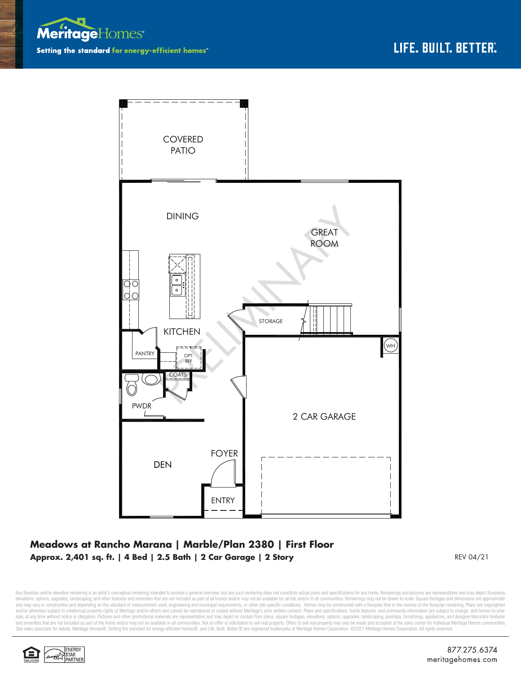



## **Meadows at Rancho Marana | Marble/Plan 2380 | First Floor Approx. 2,401 sq. ft. | 4 Bed | 2.5 Bath | 2 Car Garage | 2 Story** REV 04/21

Any floorplan and/or elevation rendering is an artist's conceptual rendering intended to provide a general overview, but any such rendering does not constitute actual plans and specifications for any home. Renderings and p elevations, options, upgrades, landscaping, and other features and amenities that are not included as part of all homes and/or may not be available for all lots and/or in all communities. Renderings may not be drawn to sca and may vary in construction and depending on the standard of measurement used, engineering and municipal requirements, or other site-specific conditions. Homes may be constructed with a floorplan that is the reverse of th and/or otherwise subject to intellectual property rights of Meritage and/or others and cannot be reproduced or copied without Meritage's prior written consent. Plans and specifications, home features, and community informa sale, at any time without notice or obligation. Pictures and other promotional materials are representative and may depict or contain floor plans, square footages, elevations, options, upgrades, landscaping, pool/spa, furn See sales associate for details. Meritage Homes®, Setting the standard for energy-efficient homes®, and Life. Built. Better. @ are registered trademarks of Meritage Homes Corporation. ©2021 Meritage Homes Corporation. All